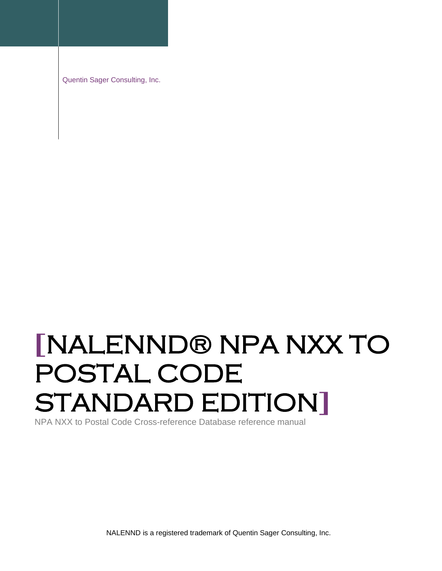Quentin Sager Consulting, Inc.

# **[**NALENND® NPA NXX TO POSTAL CODE STANDARD EDITION**]**

NPA NXX to Postal Code Cross-reference Database reference manual

NALENND is a registered trademark of Quentin Sager Consulting, Inc.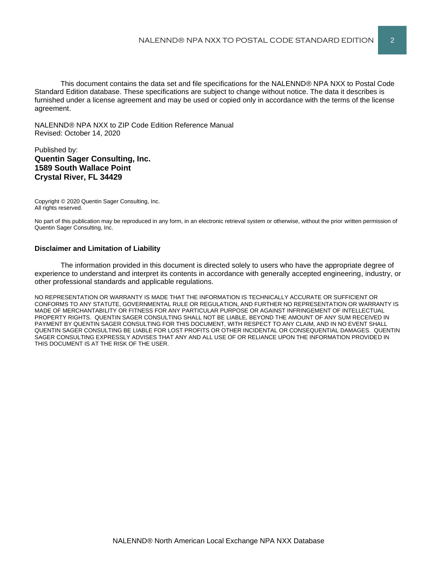This document contains the data set and file specifications for the NALENND® NPA NXX to Postal Code Standard Edition database. These specifications are subject to change without notice. The data it describes is furnished under a license agreement and may be used or copied only in accordance with the terms of the license agreement.

NALENND® NPA NXX to ZIP Code Edition Reference Manual Revised: October 14, 2020

#### Published by: **Quentin Sager Consulting, Inc. 1589 South Wallace Point Crystal River, FL 34429**

Copyright © 2020 Quentin Sager Consulting, Inc. All rights reserved.

No part of this publication may be reproduced in any form, in an electronic retrieval system or otherwise, without the prior written permission of Quentin Sager Consulting, Inc.

#### **Disclaimer and Limitation of Liability**

The information provided in this document is directed solely to users who have the appropriate degree of experience to understand and interpret its contents in accordance with generally accepted engineering, industry, or other professional standards and applicable regulations.

NO REPRESENTATION OR WARRANTY IS MADE THAT THE INFORMATION IS TECHNICALLY ACCURATE OR SUFFICIENT OR CONFORMS TO ANY STATUTE, GOVERNMENTAL RULE OR REGULATION, AND FURTHER NO REPRESENTATION OR WARRANTY IS MADE OF MERCHANTABILITY OR FITNESS FOR ANY PARTICULAR PURPOSE OR AGAINST INFRINGEMENT OF INTELLECTUAL PROPERTY RIGHTS. QUENTIN SAGER CONSULTING SHALL NOT BE LIABLE, BEYOND THE AMOUNT OF ANY SUM RECEIVED IN PAYMENT BY QUENTIN SAGER CONSULTING FOR THIS DOCUMENT, WITH RESPECT TO ANY CLAIM, AND IN NO EVENT SHALL QUENTIN SAGER CONSULTING BE LIABLE FOR LOST PROFITS OR OTHER INCIDENTAL OR CONSEQUENTIAL DAMAGES. QUENTIN SAGER CONSULTING EXPRESSLY ADVISES THAT ANY AND ALL USE OF OR RELIANCE UPON THE INFORMATION PROVIDED IN THIS DOCUMENT IS AT THE RISK OF THE USER.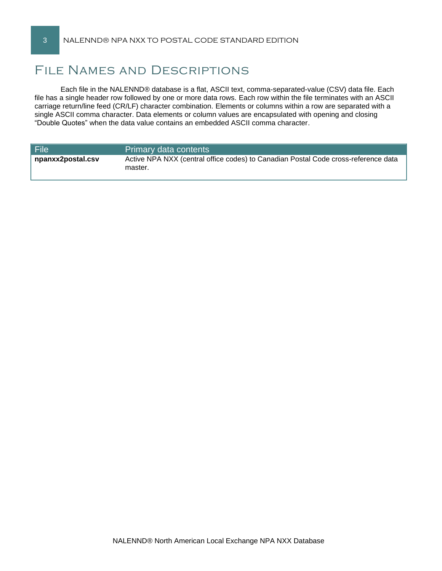# File Names and Descriptions

Each file in the NALENND® database is a flat, ASCII text, comma-separated-value (CSV) data file. Each file has a single header row followed by one or more data rows. Each row within the file terminates with an ASCII carriage return/line feed (CR/LF) character combination. Elements or columns within a row are separated with a single ASCII comma character. Data elements or column values are encapsulated with opening and closing "Double Quotes" when the data value contains an embedded ASCII comma character.

| <b>File</b>       | Primary data contents                                                                         |
|-------------------|-----------------------------------------------------------------------------------------------|
| npanxx2postal.csv | Active NPA NXX (central office codes) to Canadian Postal Code cross-reference data<br>master. |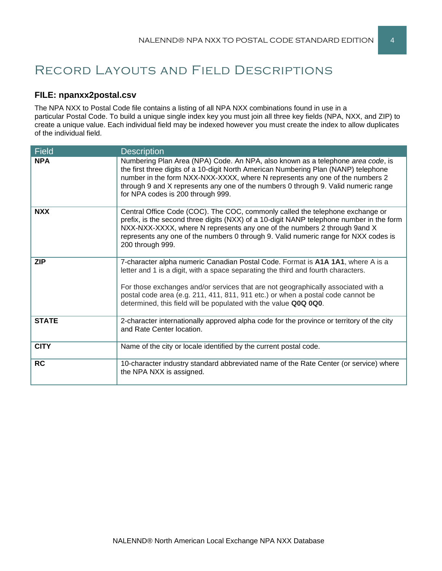# Record Layouts and Field Descriptions

## **FILE: npanxx2postal.csv**

The NPA NXX to Postal Code file contains a listing of all NPA NXX combinations found in use in a particular Postal Code. To build a unique single index key you must join all three key fields (NPA, NXX, and ZIP) to create a unique value. Each individual field may be indexed however you must create the index to allow duplicates of the individual field.

| <b>Field</b> | <b>Description</b>                                                                                                                                                                                                                                                                                                                                                                                               |
|--------------|------------------------------------------------------------------------------------------------------------------------------------------------------------------------------------------------------------------------------------------------------------------------------------------------------------------------------------------------------------------------------------------------------------------|
| <b>NPA</b>   | Numbering Plan Area (NPA) Code. An NPA, also known as a telephone area code, is<br>the first three digits of a 10-digit North American Numbering Plan (NANP) telephone<br>number in the form NXX-NXX-XXXX, where N represents any one of the numbers 2<br>through 9 and X represents any one of the numbers 0 through 9. Valid numeric range<br>for NPA codes is 200 through 999.                                |
| <b>NXX</b>   | Central Office Code (COC). The COC, commonly called the telephone exchange or<br>prefix, is the second three digits (NXX) of a 10-digit NANP telephone number in the form<br>NXX-NXX-XXXX, where N represents any one of the numbers 2 through 9and X<br>represents any one of the numbers 0 through 9. Valid numeric range for NXX codes is<br>200 through 999.                                                 |
| <b>ZIP</b>   | 7-character alpha numeric Canadian Postal Code. Format is A1A 1A1, where A is a<br>letter and 1 is a digit, with a space separating the third and fourth characters.<br>For those exchanges and/or services that are not geographically associated with a<br>postal code area (e.g. 211, 411, 811, 911 etc.) or when a postal code cannot be<br>determined, this field will be populated with the value Q0Q 0Q0. |
| <b>STATE</b> | 2-character internationally approved alpha code for the province or territory of the city<br>and Rate Center location.                                                                                                                                                                                                                                                                                           |
| <b>CITY</b>  | Name of the city or locale identified by the current postal code.                                                                                                                                                                                                                                                                                                                                                |
| <b>RC</b>    | 10-character industry standard abbreviated name of the Rate Center (or service) where<br>the NPA NXX is assigned.                                                                                                                                                                                                                                                                                                |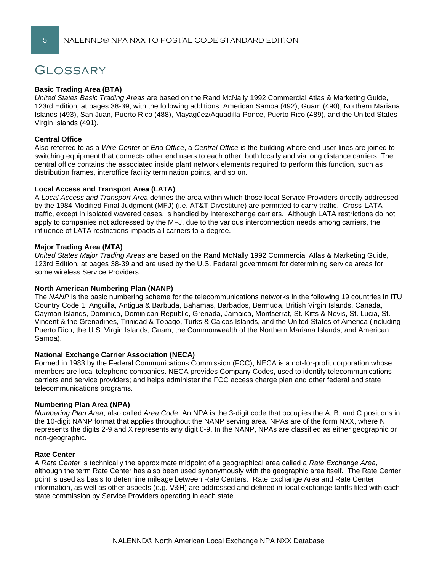# **GLOSSARY**

#### **Basic Trading Area (BTA)**

*United States Basic Trading Areas* are based on the Rand McNally 1992 Commercial Atlas & Marketing Guide, 123rd Edition, at pages 38-39, with the following additions: American Samoa (492), Guam (490), Northern Mariana Islands (493), San Juan, Puerto Rico (488), Mayagüez/Aguadilla-Ponce, Puerto Rico (489), and the United States Virgin Islands (491).

#### **Central Office**

Also referred to as a *Wire Center* or *End Office*, a *Central Office* is the building where end user lines are joined to switching equipment that connects other end users to each other, both locally and via long distance carriers. The central office contains the associated inside plant network elements required to perform this function, such as distribution frames, interoffice facility termination points, and so on.

#### **Local Access and Transport Area (LATA)**

A *Local Access and Transport Area* defines the area within which those local Service Providers directly addressed by the 1984 Modified Final Judgment (MFJ) (i.e. AT&T Divestiture) are permitted to carry traffic. Cross-LATA traffic, except in isolated wavered cases, is handled by interexchange carriers. Although LATA restrictions do not apply to companies not addressed by the MFJ, due to the various interconnection needs among carriers, the influence of LATA restrictions impacts all carriers to a degree.

#### **Major Trading Area (MTA)**

*United States Major Trading Areas* are based on the Rand McNally 1992 Commercial Atlas & Marketing Guide, 123rd Edition, at pages 38-39 and are used by the U.S. Federal government for determining service areas for some wireless Service Providers.

#### **North American Numbering Plan (NANP)**

The *NANP* is the basic numbering scheme for the telecommunications networks in the following 19 countries in ITU Country Code 1: Anguilla, Antigua & Barbuda, Bahamas, Barbados, Bermuda, British Virgin Islands, Canada, Cayman Islands, Dominica, Dominican Republic, Grenada, Jamaica, Montserrat, St. Kitts & Nevis, St. Lucia, St. Vincent & the Grenadines, Trinidad & Tobago, Turks & Caicos Islands, and the United States of America (including Puerto Rico, the U.S. Virgin Islands, Guam, the Commonwealth of the Northern Mariana Islands, and American Samoa).

#### **National Exchange Carrier Association (NECA)**

Formed in 1983 by the Federal Communications Commission (FCC), NECA is a not-for-profit corporation whose members are local telephone companies. NECA provides Company Codes, used to identify telecommunications carriers and service providers; and helps administer the FCC access charge plan and other federal and state telecommunications programs.

#### **Numbering Plan Area (NPA)**

*Numbering Plan Area*, also called *Area Code*. An NPA is the 3-digit code that occupies the A, B, and C positions in the 10-digit NANP format that applies throughout the NANP serving area. NPAs are of the form NXX, where N represents the digits 2-9 and X represents any digit 0-9. In the NANP, NPAs are classified as either geographic or non-geographic.

#### **Rate Center**

A *Rate Center* is technically the approximate midpoint of a geographical area called a *Rate Exchange Area*, although the term Rate Center has also been used synonymously with the geographic area itself. The Rate Center point is used as basis to determine mileage between Rate Centers. Rate Exchange Area and Rate Center information, as well as other aspects (e.g. V&H) are addressed and defined in local exchange tariffs filed with each state commission by Service Providers operating in each state.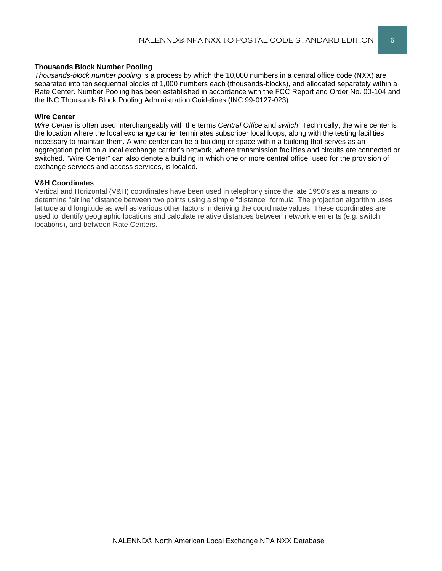#### **Thousands Block Number Pooling**

*Thousands-block number pooling* is a process by which the 10,000 numbers in a central office code (NXX) are separated into ten sequential blocks of 1,000 numbers each (thousands-blocks), and allocated separately within a Rate Center. Number Pooling has been established in accordance with the FCC Report and Order No. 00-104 and the INC Thousands Block Pooling Administration Guidelines (INC 99-0127-023).

#### **Wire Center**

*Wire Center* is often used interchangeably with the terms *Central Office* and *switch*. Technically, the wire center is the location where the local exchange carrier terminates subscriber local loops, along with the testing facilities necessary to maintain them. A wire center can be a building or space within a building that serves as an aggregation point on a local exchange carrier's network, where transmission facilities and circuits are connected or switched. "Wire Center" can also denote a building in which one or more central office, used for the provision of exchange services and access services, is located.

#### **V&H Coordinates**

Vertical and Horizontal (V&H) coordinates have been used in telephony since the late 1950's as a means to determine "airline" distance between two points using a simple "distance" formula. The projection algorithm uses latitude and longitude as well as various other factors in deriving the coordinate values. These coordinates are used to identify geographic locations and calculate relative distances between network elements (e.g. switch locations), and between Rate Centers.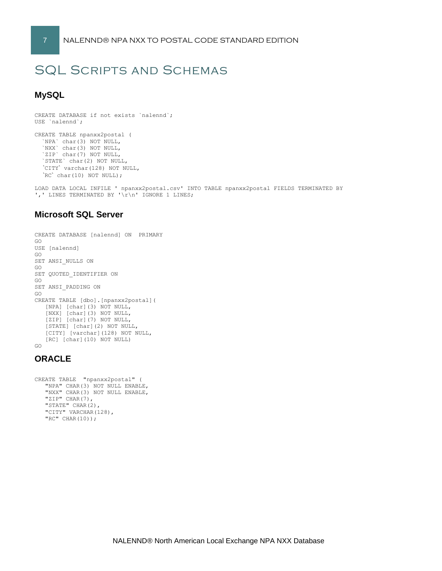# SQL Scripts and Schemas

## **MySQL**

```
CREATE DATABASE if not exists `nalennd`;
USE `nalennd`;
CREATE TABLE npanxx2postal (
 `NPA` char(3) NOT NULL,
 `NXX` char(3) NOT NULL,
  `ZIP` char(7) NOT NULL,
```
 `STATE` char(2) NOT NULL, `CITY` varchar(128) NOT NULL,  $'RC' char(10) NOT NULL$ ;

LOAD DATA LOCAL INFILE ' npanxx2postal.csv' INTO TABLE npanxx2postal FIELDS TERMINATED BY ',' LINES TERMINATED BY '\r\n' IGNORE 1 LINES;

## **Microsoft SQL Server**

```
CREATE DATABASE [nalennd] ON PRIMARY 
GO
USE [nalennd]
GO
SET ANSI_NULLS ON
GO
SET QUOTED IDENTIFIER ON
GO
SET ANSI_PADDING ON
GO
CREATE TABLE [dbo].[npanxx2postal](
    [NPA] [char](3) NOT NULL,
    [NXX] [char](3) NOT NULL,
    [ZIP] [char](7) NOT NULL,
    [STATE] [char](2) NOT NULL,
    [CITY] [varchar](128) NOT NULL,
    [RC] [char](10) NOT NULL)
GO
```
### **ORACLE**

```
CREATE TABLE "npanxx2postal" (
    "NPA" CHAR(3) NOT NULL ENABLE, 
    "NXX" CHAR(3) NOT NULL ENABLE, 
   "ZIP" CHAR(7),
    "STATE" CHAR(2), 
   "CITY" VARCHAR(128),
    "RC" CHAR(10));
```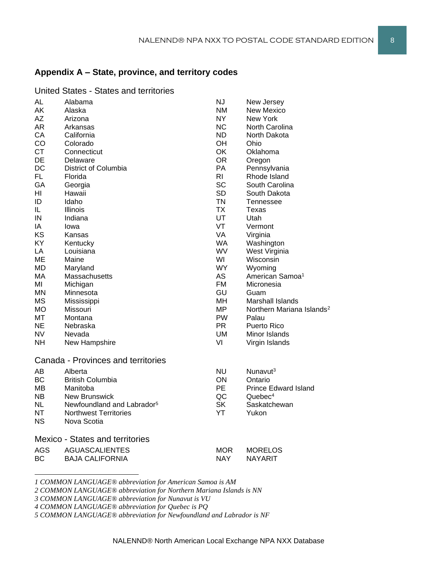# **Appendix A – State, province, and territory codes**

| UITIvu     | ouuvo<br>งแนเงง                        |                |                                       |
|------------|----------------------------------------|----------------|---------------------------------------|
| AL         | Alabama                                | <b>NJ</b>      | New Jersey                            |
| <b>AK</b>  | Alaska                                 | <b>NM</b>      | <b>New Mexico</b>                     |
| AΖ         | Arizona                                | NY             | New York                              |
| AR         | Arkansas                               | <b>NC</b>      | North Carolina                        |
| CA         | California                             | ND.            | North Dakota                          |
| CO         | Colorado                               | OH             | Ohio                                  |
| <b>CT</b>  | Connecticut                            | OK             | Oklahoma                              |
| DE         | Delaware                               | OR             | Oregon                                |
| DC         | District of Columbia                   | PA             | Pennsylvania                          |
| <b>FL</b>  | Florida                                | R <sub>l</sub> | Rhode Island                          |
| GA         | Georgia                                | <b>SC</b>      | South Carolina                        |
| ΗI         | Hawaii                                 | <b>SD</b>      | South Dakota                          |
| ID         | Idaho                                  | <b>TN</b>      | <b>Tennessee</b>                      |
| IL         | <b>Illinois</b>                        | <b>TX</b>      | Texas                                 |
| IN         | Indiana                                | UT             | Utah                                  |
| IA         | Iowa                                   | VT             | Vermont                               |
| KS         | Kansas                                 | VA             | Virginia                              |
| KY         | Kentucky                               | WA             | Washington                            |
| LA         | Louisiana                              | <b>WV</b>      | West Virginia                         |
| ME         | Maine                                  | WI             | Wisconsin                             |
| MD         | Maryland                               | WY.            | Wyoming                               |
| MA         | Massachusetts                          | AS             | American Samoa <sup>1</sup>           |
| ΜI         | Michigan                               | <b>FM</b>      | Micronesia                            |
| ΜN         | Minnesota                              | GU             | Guam                                  |
| <b>MS</b>  | Mississippi                            | MН             | Marshall Islands                      |
| МO         | Missouri                               | <b>MP</b>      | Northern Mariana Islands <sup>2</sup> |
| MT         | Montana                                | <b>PW</b>      | Palau                                 |
| NE.        | Nebraska                               | PR.            | Puerto Rico                           |
| NV.        | Nevada                                 | UM             | Minor Islands                         |
| NΗ         | New Hampshire                          | VI             | Virgin Islands                        |
|            | Canada - Provinces and territories     |                |                                       |
|            |                                        |                |                                       |
| AВ         | Alberta                                | <b>NU</b>      | Nunavut <sup>3</sup>                  |
| <b>BC</b>  | <b>British Columbia</b>                | ON             | Ontario                               |
| MВ         | Manitoba                               | <b>PE</b>      | <b>Prince Edward Island</b>           |
| NB.        | <b>New Brunswick</b>                   | QC             | Quebec <sup>4</sup>                   |
| <b>NL</b>  | Newfoundland and Labrador <sup>5</sup> | <b>SK</b>      | Saskatchewan                          |
| NT         | <b>Northwest Territories</b>           | YT             | Yukon                                 |
| ΝS         | Nova Scotia                            |                |                                       |
|            | <b>Mexico - States and territories</b> |                |                                       |
| <b>AGS</b> | <b>AGUASCALIENTES</b>                  | MOR            | <b>MORELOS</b>                        |
| ВC         | <b>BAJA CALIFORNIA</b>                 | NAY            | <b>NAYARIT</b>                        |
|            |                                        |                |                                       |

#### United States - States and territories

*1 COMMON LANGUAGE® abbreviation for American Samoa is AM*

*2 COMMON LANGUAGE® abbreviation for Northern Mariana Islands is NN*

*3 COMMON LANGUAGE® abbreviation for Nunavut is VU*

*4 COMMON LANGUAGE® abbreviation for Quebec is PQ*

*5 COMMON LANGUAGE® abbreviation for Newfoundland and Labrador is NF*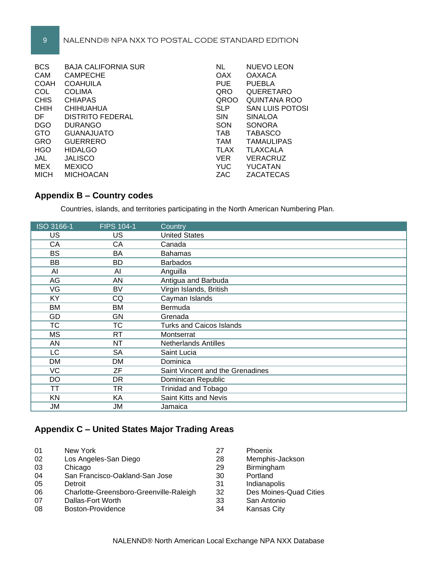#### 9 NALENND® NPA NXX TO POSTAL CODE STANDARD EDITION

| <b>BCS</b>  | <b>BAJA CALIFORNIA SUR</b> | <b>NL</b>   | NUEVO LEON             |
|-------------|----------------------------|-------------|------------------------|
| CAM         | <b>CAMPECHE</b>            | OAX         | <b>OAXACA</b>          |
| <b>COAH</b> | <b>COAHUILA</b>            | <b>PUE</b>  | <b>PUEBLA</b>          |
| COL         | <b>COLIMA</b>              | QRO         | QUERETARO              |
| <b>CHIS</b> | <b>CHIAPAS</b>             | QROO        | QUINTANA ROO           |
| <b>CHIH</b> | <b>CHIHUAHUA</b>           | <b>SLP</b>  | <b>SAN LUIS POTOSI</b> |
| DF          | <b>DISTRITO FEDERAL</b>    | <b>SIN</b>  | <b>SINALOA</b>         |
| <b>DGO</b>  | <b>DURANGO</b>             | SON         | <b>SONORA</b>          |
| <b>GTO</b>  | <b>GUANAJUATO</b>          | <b>TAB</b>  | <b>TABASCO</b>         |
| <b>GRO</b>  | <b>GUERRERO</b>            | <b>TAM</b>  | <b>TAMAULIPAS</b>      |
| <b>HGO</b>  | <b>HIDALGO</b>             | <b>TLAX</b> | <b>TLAXCALA</b>        |
| JAL         | <b>JALISCO</b>             | <b>VER</b>  | VERACRUZ               |
| MEX         | <b>MEXICO</b>              | <b>YUC</b>  | YUCATAN                |
| <b>MICH</b> | <b>MICHOACAN</b>           | ZAC         | ZACATECAS              |

# **Appendix B – Country codes**

Countries, islands, and territories participating in the North American Numbering Plan.

| ISO 3166-1 | <b>FIPS 104-1</b> | Country                          |
|------------|-------------------|----------------------------------|
| US         | US                | <b>United States</b>             |
| CA         | CA                | Canada                           |
| <b>BS</b>  | BA                | <b>Bahamas</b>                   |
| BB         | BD                | <b>Barbados</b>                  |
| AI         | AI                | Anguilla                         |
| AG         | AN                | Antigua and Barbuda              |
| VG         | <b>BV</b>         | Virgin Islands, British          |
| KY         | CQ                | Cayman Islands                   |
| <b>BM</b>  | ВM                | Bermuda                          |
| GD         | GN                | Grenada                          |
| <b>TC</b>  | <b>TC</b>         | <b>Turks and Caicos Islands</b>  |
| <b>MS</b>  | RT.               | Montserrat                       |
| AN         | <b>NT</b>         | <b>Netherlands Antilles</b>      |
| LC         | <b>SA</b>         | Saint Lucia                      |
| DM         | DM                | Dominica                         |
| VC         | ZF                | Saint Vincent and the Grenadines |
| DO         | <b>DR</b>         | Dominican Republic               |
| ТT         | TR                | Trinidad and Tobago              |
| <b>KN</b>  | KA                | Saint Kitts and Nevis            |
| JМ         | JM                | Jamaica                          |

# **Appendix C – United States Major Trading Areas**

| 01 | New York                                | 27 | <b>Phoenix</b>         |
|----|-----------------------------------------|----|------------------------|
| 02 | Los Angeles-San Diego                   | 28 | Memphis-Jackson        |
| 03 | Chicago                                 | 29 | Birmingham             |
| 04 | San Francisco-Oakland-San Jose          | 30 | Portland               |
| 05 | Detroit                                 | 31 | Indianapolis           |
| 06 | Charlotte-Greensboro-Greenville-Raleigh | 32 | Des Moines-Quad Cities |
| 07 | Dallas-Fort Worth                       | 33 | San Antonio            |
| 08 | Boston-Providence                       | 34 | <b>Kansas City</b>     |